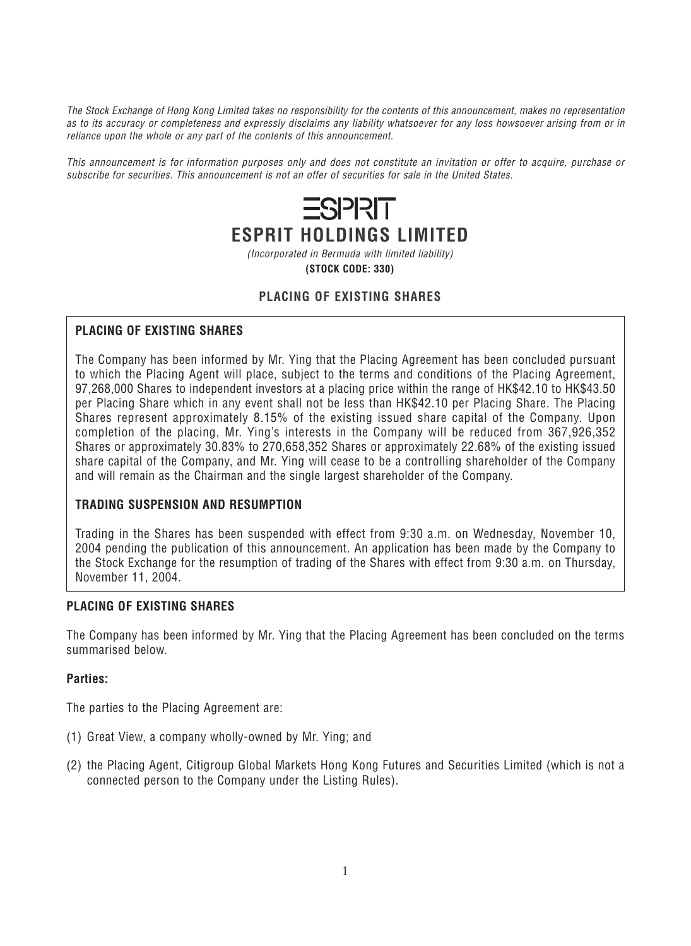*The Stock Exchange of Hong Kong Limited takes no responsibility for the contents of this announcement, makes no representation as to its accuracy or completeness and expressly disclaims any liability whatsoever for any loss howsoever arising from or in reliance upon the whole or any part of the contents of this announcement.*

*This announcement is for information purposes only and does not constitute an invitation or offer to acquire, purchase or subscribe for securities. This announcement is not an offer of securities for sale in the United States.*

# **ESPRIT ESPRIT HOLDINGS LIMITED**

*(Incorporated in Bermuda with limited liability)*

**(STOCK CODE: 330)**

# **PLACING OF EXISTING SHARES**

# **PLACING OF EXISTING SHARES**

*The Company has been informed by Mr. Ying that the Placing Agreement has been concluded pursuant to which the Placing Agent will place, subject to the terms and conditions of the Placing Agreement, 97,268,000 Shares to independent investors at a placing price within the range of HK\$42.10 to HK\$43.50 per Placing Share which in any event shall not be less than HK\$42.10 per Placing Share. The Placing Shares represent approximately 8.15% of the existing issued share capital of the Company. Upon completion of the placing, Mr. Ying's interests in the Company will be reduced from 367,926,352 Shares or approximately 30.83% to 270,658,352 Shares or approximately 22.68% of the existing issued share capital of the Company, and Mr. Ying will cease to be a controlling shareholder of the Company and will remain as the Chairman and the single largest shareholder of the Company.*

# **TRADING SUSPENSION AND RESUMPTION**

*Trading in the Shares has been suspended with effect from 9:30 a.m. on Wednesday, November 10, 2004 pending the publication of this announcement. An application has been made by the Company to the Stock Exchange for the resumption of trading of the Shares with effect from 9:30 a.m. on Thursday, November 11, 2004.*

# **PLACING OF EXISTING SHARES**

*The Company has been informed by Mr. Ying that the Placing Agreement has been concluded on the terms summarised below.*

#### **Parties:**

*The parties to the Placing Agreement are:*

- *(1) Great View, a company wholly-owned by Mr. Ying; and*
- *(2) the Placing Agent, Citigroup Global Markets Hong Kong Futures and Securities Limited (which is not a connected person to the Company under the Listing Rules).*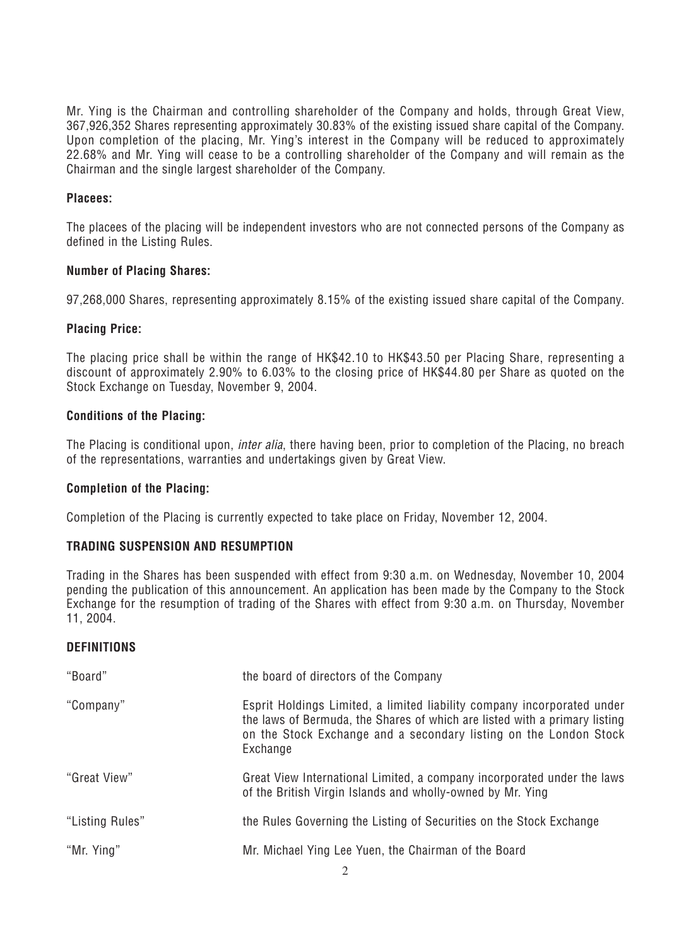*Mr. Ying is the Chairman and controlling shareholder of the Company and holds, through Great View, 367,926,352 Shares representing approximately 30.83% of the existing issued share capital of the Company. Upon completion of the placing, Mr. Ying's interest in the Company will be reduced to approximately 22.68% and Mr. Ying will cease to be a controlling shareholder of the Company and will remain as the Chairman and the single largest shareholder of the Company.*

# **Placees:**

*The placees of the placing will be independent investors who are not connected persons of the Company as defined in the Listing Rules.*

#### **Number of Placing Shares:**

*97,268,000 Shares, representing approximately 8.15% of the existing issued share capital of the Company.*

#### **Placing Price:**

*The placing price shall be within the range of HK\$42.10 to HK\$43.50 per Placing Share, representing a discount of approximately 2.90% to 6.03% to the closing price of HK\$44.80 per Share as quoted on the Stock Exchange on Tuesday, November 9, 2004.*

#### **Conditions of the Placing:**

*The Placing is conditional upon, inter alia, there having been, prior to completion of the Placing, no breach of the representations, warranties and undertakings given by Great View.*

#### **Completion of the Placing:**

*Completion of the Placing is currently expected to take place on Friday, November 12, 2004.*

# **TRADING SUSPENSION AND RESUMPTION**

*Trading in the Shares has been suspended with effect from 9:30 a.m. on Wednesday, November 10, 2004 pending the publication of this announcement. An application has been made by the Company to the Stock Exchange for the resumption of trading of the Shares with effect from 9:30 a.m. on Thursday, November 11, 2004.*

# **DEFINITIONS**

| "Board"         | the board of directors of the Company                                                                                                                                                                                                  |
|-----------------|----------------------------------------------------------------------------------------------------------------------------------------------------------------------------------------------------------------------------------------|
| "Company"       | Esprit Holdings Limited, a limited liability company incorporated under<br>the laws of Bermuda, the Shares of which are listed with a primary listing<br>on the Stock Exchange and a secondary listing on the London Stock<br>Exchange |
| "Great View"    | Great View International Limited, a company incorporated under the laws<br>of the British Virgin Islands and wholly-owned by Mr. Ying                                                                                                  |
| "Listing Rules" | the Rules Governing the Listing of Securities on the Stock Exchange                                                                                                                                                                    |
| "Mr. Ying"      | Mr. Michael Ying Lee Yuen, the Chairman of the Board                                                                                                                                                                                   |